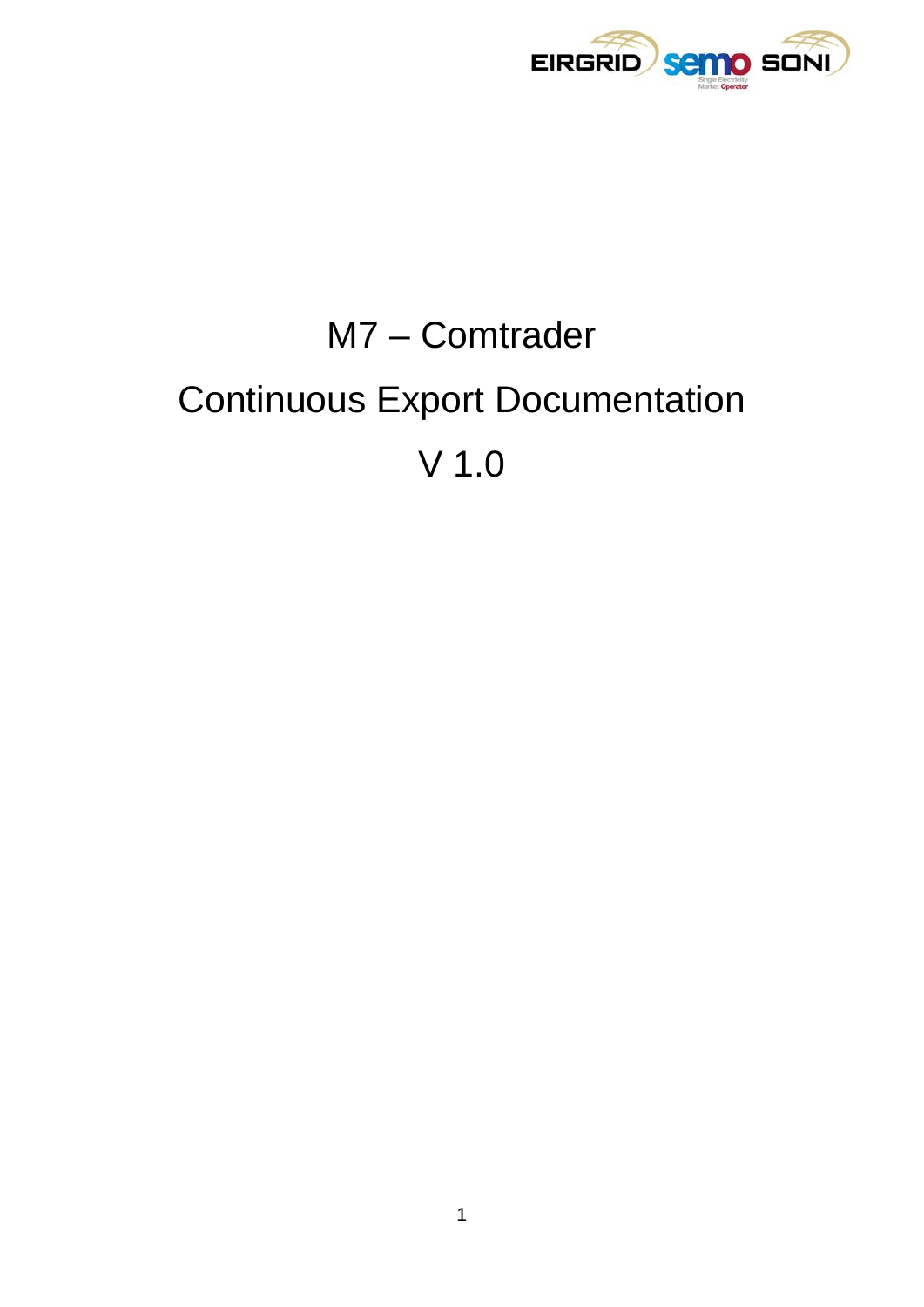

# M7 - Comtrader **Continuous Export Documentation**  $V$  1.0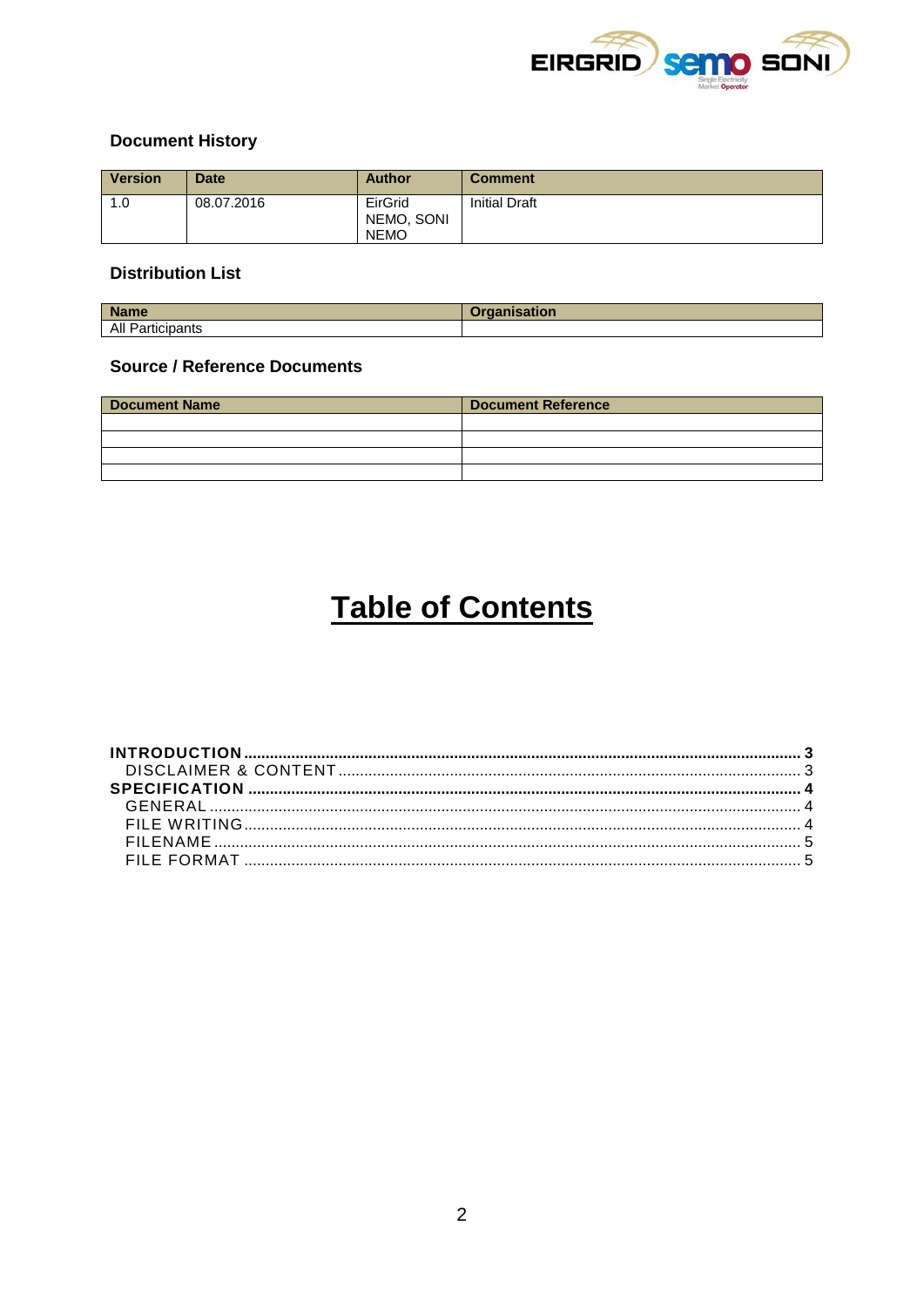

# **Document History**

| <b>Version</b> | <b>Date</b> | <b>Author</b>                        | <b>Comment</b>       |
|----------------|-------------|--------------------------------------|----------------------|
| 1.0            | 08.07.2016  | EirGrid<br>NEMO, SONI<br><b>NEMO</b> | <b>Initial Draft</b> |

## **Distribution List**

| <b>Name</b>           |  |
|-----------------------|--|
| All Particip<br>pants |  |

# **Source / Reference Documents**

| <b>Document Name</b> | <b>Document Reference</b> |  |  |
|----------------------|---------------------------|--|--|
|                      |                           |  |  |
|                      |                           |  |  |
|                      |                           |  |  |
|                      |                           |  |  |

# **Table of Contents**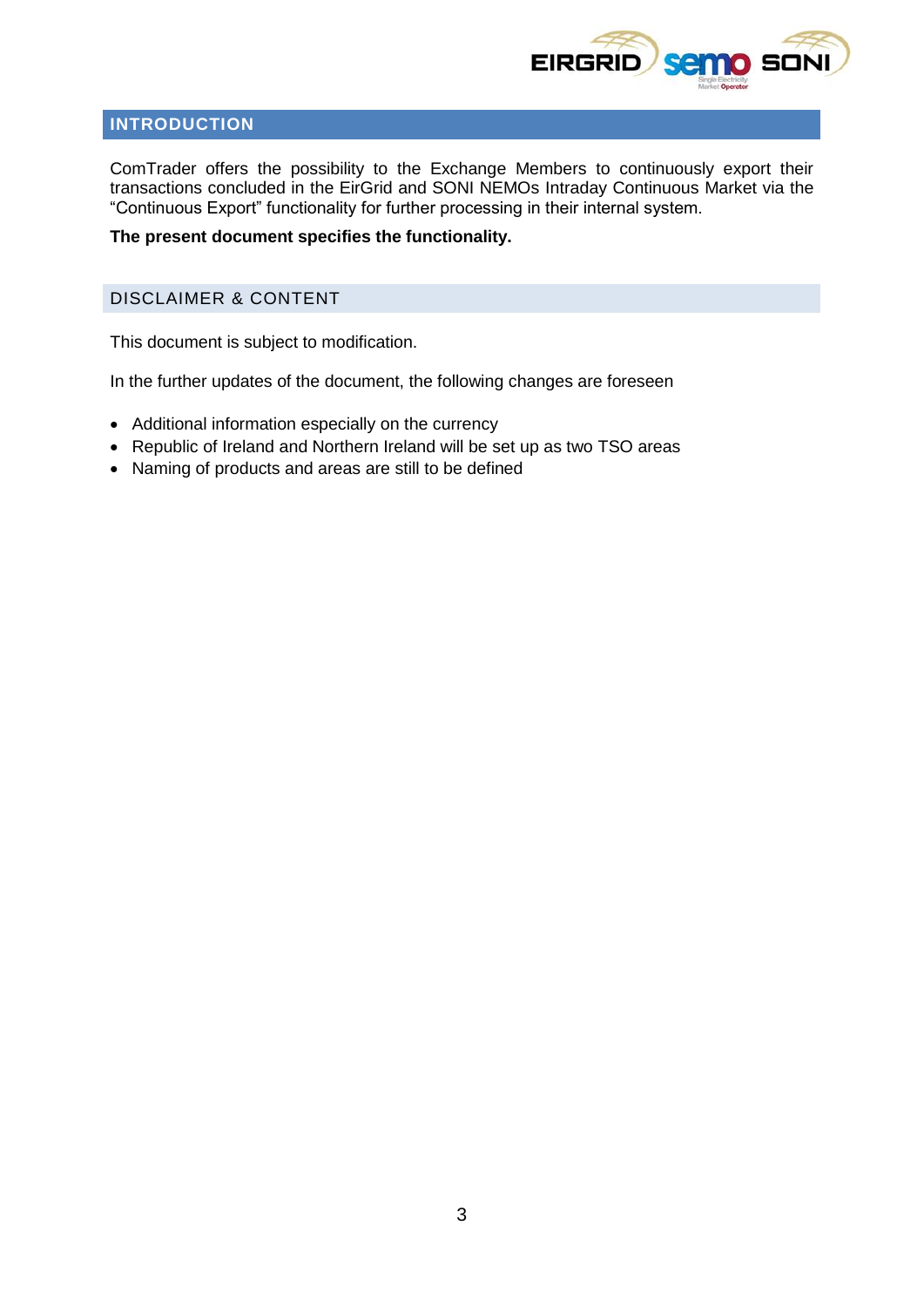

# <span id="page-2-0"></span>**INTRODUCTION**

ComTrader offers the possibility to the Exchange Members to continuously export their transactions concluded in the EirGrid and SONI NEMOs Intraday Continuous Market via the "Continuous Export" functionality for further processing in their internal system.

#### **The present document specifies the functionality.**

# <span id="page-2-1"></span>DISCLAIMER & CONTENT

This document is subject to modification.

In the further updates of the document, the following changes are foreseen

- Additional information especially on the currency
- Republic of Ireland and Northern Ireland will be set up as two TSO areas
- Naming of products and areas are still to be defined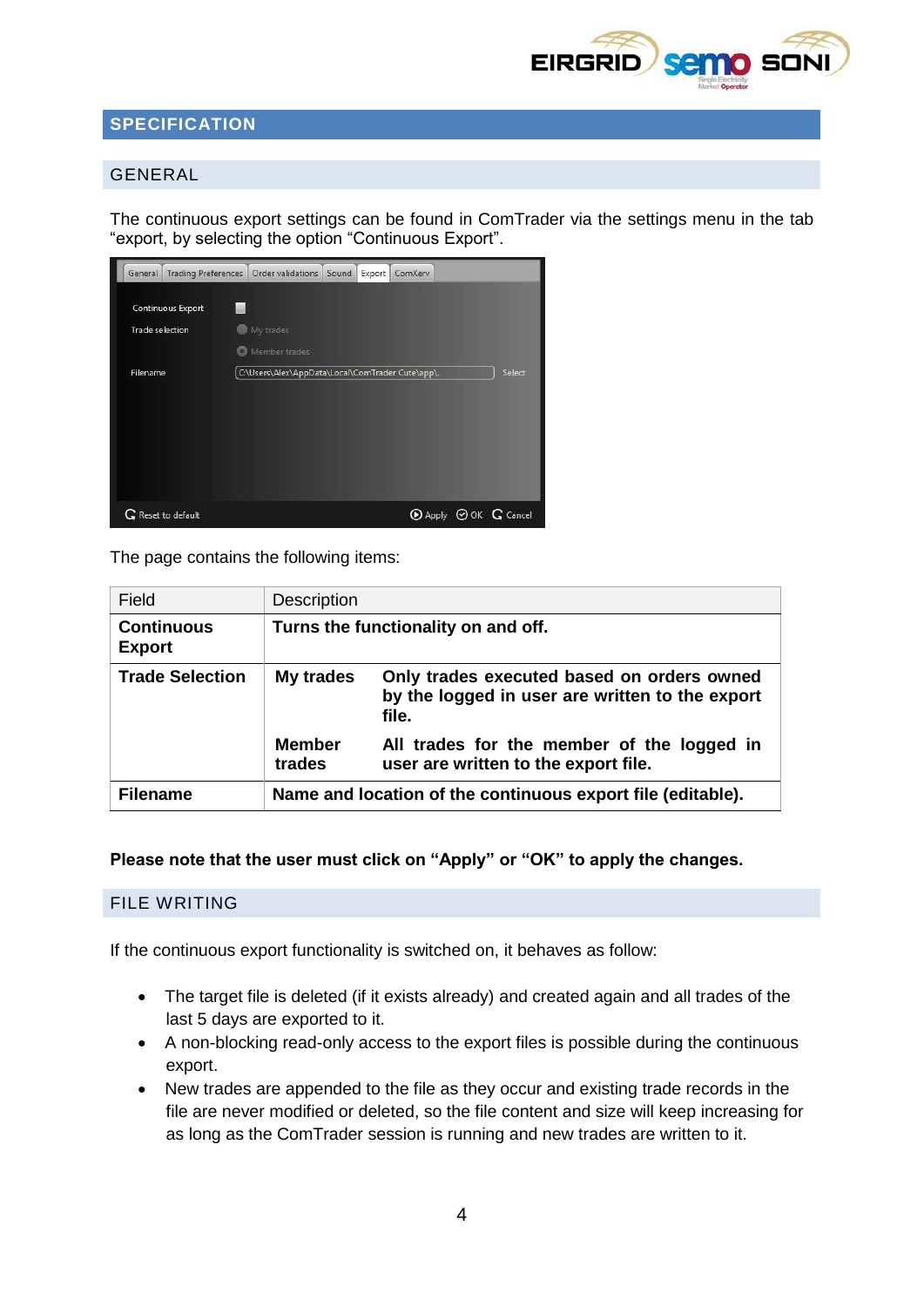

# <span id="page-3-0"></span>**SPECIFICATION**

### <span id="page-3-1"></span>GENERAL

The continuous export settings can be found in ComTrader via the settings menu in the tab "export, by selecting the option "Continuous Export".

| <b>Trading Preferences</b><br>General | Order validations<br>Sound<br>Export<br>ComXerv            |
|---------------------------------------|------------------------------------------------------------|
| Continuous Export                     |                                                            |
| Trade selection                       | My trades                                                  |
|                                       | Member trades                                              |
| Filename                              | C:\Users\Alex\AppData\Local\ComTrader Cute\app\.<br>Select |
|                                       |                                                            |
|                                       |                                                            |
|                                       |                                                            |
|                                       |                                                            |
|                                       |                                                            |
|                                       |                                                            |
| G Reset to default                    | $\odot$ Apply $\odot$ OK $\odot$ Cancel                    |

The page contains the following items:

| Field                              | <b>Description</b>                                          |                                                                                                        |  |
|------------------------------------|-------------------------------------------------------------|--------------------------------------------------------------------------------------------------------|--|
| <b>Continuous</b><br><b>Export</b> | Turns the functionality on and off.                         |                                                                                                        |  |
| <b>Trade Selection</b>             | My trades                                                   | Only trades executed based on orders owned<br>by the logged in user are written to the export<br>file. |  |
|                                    | <b>Member</b><br>trades                                     | All trades for the member of the logged in<br>user are written to the export file.                     |  |
| <b>Filename</b>                    | Name and location of the continuous export file (editable). |                                                                                                        |  |

**Please note that the user must click on "Apply" or "OK" to apply the changes.**

#### <span id="page-3-2"></span>FILE WRITING

If the continuous export functionality is switched on, it behaves as follow:

- The target file is deleted (if it exists already) and created again and all trades of the last 5 days are exported to it.
- A non-blocking read-only access to the export files is possible during the continuous export.
- New trades are appended to the file as they occur and existing trade records in the file are never modified or deleted, so the file content and size will keep increasing for as long as the ComTrader session is running and new trades are written to it.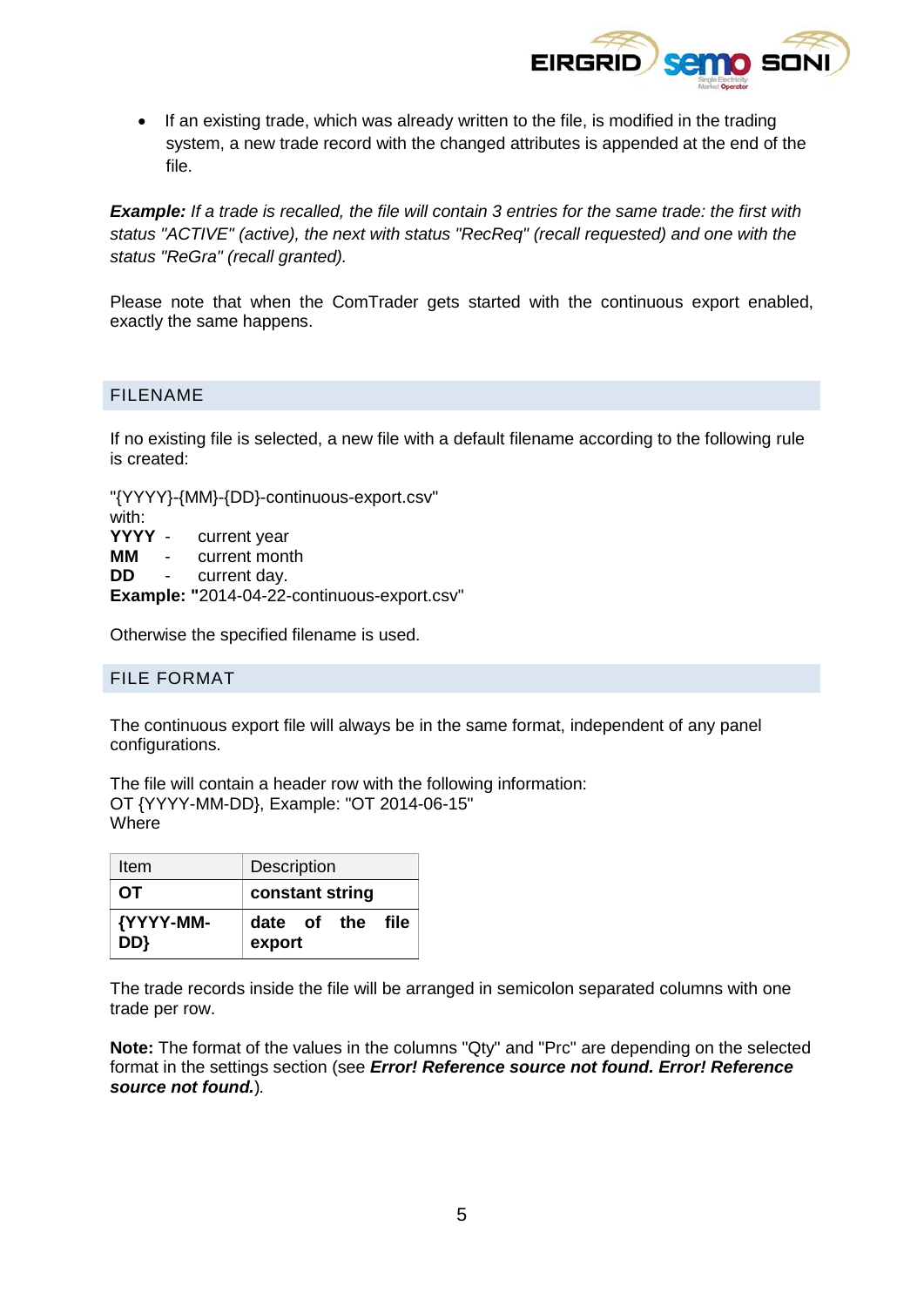

• If an existing trade, which was already written to the file, is modified in the trading system, a new trade record with the changed attributes is appended at the end of the file.

*Example: If a trade is recalled, the file will contain 3 entries for the same trade: the first with status "ACTIVE" (active), the next with status "RecReq" (recall requested) and one with the status "ReGra" (recall granted).*

Please note that when the ComTrader gets started with the continuous export enabled, exactly the same happens.

### <span id="page-4-0"></span>FILENAME

If no existing file is selected, a new file with a default filename according to the following rule is created:

"{YYYY}-{MM}-{DD}-continuous-export.csv"

with: **YYYY** - current year **MM** - current month **DD** - current day. **Example: "**2014-04-22-continuous-export.csv"

Otherwise the specified filename is used.

#### <span id="page-4-1"></span>FILE FORMAT

The continuous export file will always be in the same format, independent of any panel configurations.

The file will contain a header row with the following information: OT {YYYY-MM-DD}, Example: "OT 2014-06-15" Where

| Item             | <b>Description</b>         |  |  |
|------------------|----------------------------|--|--|
| OT.              | constant string            |  |  |
| {YYYY-MM-<br>DD} | date of the file<br>export |  |  |

The trade records inside the file will be arranged in semicolon separated columns with one trade per row.

**Note:** The format of the values in the columns "Qty" and "Prc" are depending on the selected format in the settings section (see *Error! Reference source not found. Error! Reference source not found.*)*.*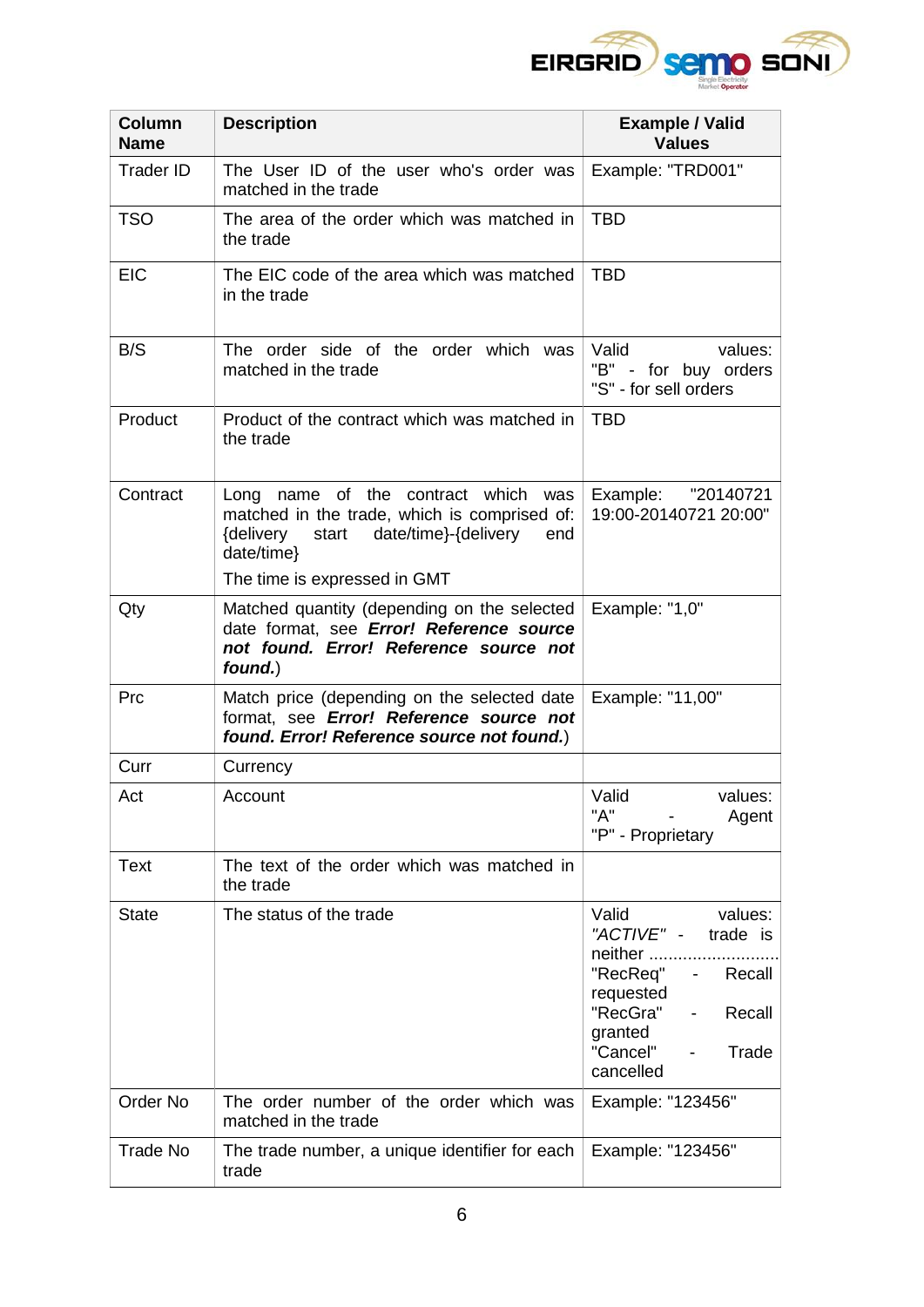

| <b>Column</b><br><b>Name</b> | <b>Description</b>                                                                                                                                            | <b>Example / Valid</b><br><b>Values</b>                                                                                                                                                                     |
|------------------------------|---------------------------------------------------------------------------------------------------------------------------------------------------------------|-------------------------------------------------------------------------------------------------------------------------------------------------------------------------------------------------------------|
| <b>Trader ID</b>             | The User ID of the user who's order was<br>matched in the trade                                                                                               | Example: "TRD001"                                                                                                                                                                                           |
| <b>TSO</b>                   | The area of the order which was matched in<br>the trade                                                                                                       | <b>TBD</b>                                                                                                                                                                                                  |
| <b>EIC</b>                   | The EIC code of the area which was matched<br>in the trade                                                                                                    | <b>TBD</b>                                                                                                                                                                                                  |
| B/S                          | The order side of the order which was<br>matched in the trade                                                                                                 | values:<br>Valid<br>"B" - for buy orders<br>"S" - for sell orders                                                                                                                                           |
| Product                      | Product of the contract which was matched in<br>the trade                                                                                                     | <b>TBD</b>                                                                                                                                                                                                  |
| Contract                     | Long name of the contract which was<br>matched in the trade, which is comprised of:<br>start date/time}-{delivery<br>{delivery<br>end<br>date/time}           | "20140721<br>Example:<br>19:00-20140721 20:00"                                                                                                                                                              |
|                              | The time is expressed in GMT                                                                                                                                  |                                                                                                                                                                                                             |
| Qty                          | Matched quantity (depending on the selected   Example: "1,0"<br>date format, see Error! Reference source<br>not found. Error! Reference source not<br>found.) |                                                                                                                                                                                                             |
| Prc                          | Match price (depending on the selected date)<br>format, see Error! Reference source not<br>found. Error! Reference source not found.)                         | Example: "11,00"                                                                                                                                                                                            |
| Curr                         | Currency                                                                                                                                                      |                                                                                                                                                                                                             |
| Act                          | Account                                                                                                                                                       | Valid<br>values:<br>"A"<br>Agent<br>"P" - Proprietary                                                                                                                                                       |
| <b>Text</b>                  | The text of the order which was matched in<br>the trade                                                                                                       |                                                                                                                                                                                                             |
| <b>State</b>                 | The status of the trade                                                                                                                                       | Valid<br>values:<br>"ACTIVE" -<br>trade is<br>neither<br>"RecReq"<br>Recall<br>$\sim$<br>requested<br>"RecGra"<br>Recall<br>$\sim$<br>granted<br>"Cancel"<br>Trade<br>$\overline{\phantom{a}}$<br>cancelled |
| Order No                     | The order number of the order which was<br>matched in the trade                                                                                               | Example: "123456"                                                                                                                                                                                           |
| Trade No                     | The trade number, a unique identifier for each<br>trade                                                                                                       | Example: "123456"                                                                                                                                                                                           |